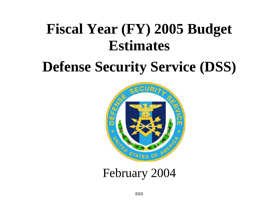# **Fiscal Year (FY) 2005 Budget Estimates**

# **Defense Security Service (DSS)**



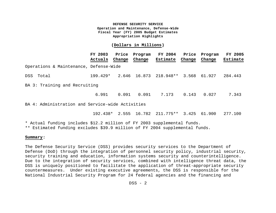#### **(Dollars in Millions)**

|                                        | FY 2003<br>Actuals | Change | Price Program<br>Change | <b>FY 2004</b><br>Estimate | Price<br>Change | Program<br>Change | <b>FY 2005</b><br>Estimate |
|----------------------------------------|--------------------|--------|-------------------------|----------------------------|-----------------|-------------------|----------------------------|
| Operations & Maintenance, Defense-Wide |                    |        |                         |                            |                 |                   |                            |
| DSS Total                              | 199.429*           |        |                         | 2.646 16.873 218.948**     |                 | 3.568 61.927      | 284.443                    |
| BA 3: Training and Recruiting          |                    |        |                         |                            |                 |                   |                            |
|                                        | 6.991              | 0.091  | 0.091                   | 7.173                      | 0.143           | 0.027             | 7.343                      |

BA 4: Administration and Service-wide Activities

192.438\* 2.555 16.782 211.775\*\* 3.425 61.900 277.100

\* Actual funding includes \$12.2 million of FY 2003 supplemental funds.

\*\* Estimated funding excludes \$39.9 million of FY 2004 supplemental funds.

#### **Summary:**

The Defense Security Service (DSS) provides security services to the Department of Defense (DoD) through the integration of personnel security policy, industrial security, security training and education, information systems security and counterintelligence. Due to the integration of security services, combined with intelligence threat data, the DSS is uniquely positioned to facilitate the application of threat-appropriate security countermeasures. Under existing executive agreements, the DSS is responsible for the National Industrial Security Program for 24 federal agencies and the financing and

 $DSS - 2$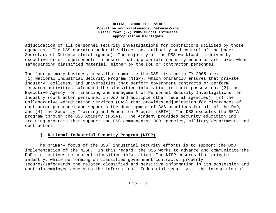adjudication of all personnel security investigations for contractors utilized by those agencies. The DSS operates under the direction, authority and control of the Under Secretary of Defense (Intelligence). The majority of the DSS workload is driven by executive order requirements to ensure that appropriate security measures are taken when safeguarding classified material, either by the DoD or contractor personnel.

The four primary business areas that comprise the DSS mission in FY 2005 are: (1) National Industrial Security Program (NISP), which primarily ensures that private industry, colleges, and universities that perform government contracts or perform research activities safeguard the classified information in their possession; (2) the Executive Agency for financing and management of Personnel Security Investigations for Industry (contractor personnel in DoD and multiple other federal agencies); (3) the Collaborative Adjudication Services (CAS) that provides adjudication for clearances of contractor personnel and supports the development of CAS practices for all of the DoD, and (4) the Security Training and Education Program (SETA). The DSS executes the SETA program through the DSS Academy (DSSA). The Academy provides security education and training programs that support the DSS components, DOD agencies, military departments and contractors.

#### **1) National Industrial Security Program (NISP)**

The primary focus of the DSS' industrial security efforts is to support the DoD implementation of the NISP. In this regard, the DSS works to advance and communicate the DoD's directives to protect classified information. The NISP ensures that private industry, while performing on classified government contracts, properly secures/safeguards the related classified and sensitive information in its possession and controls employee access to the information. Industrial security is the integration of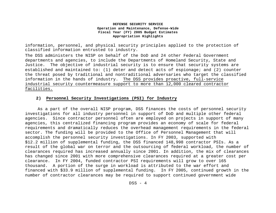information, personnel, and physical security principles applied to the protection of classified information entrusted to industry.

The DSS administers the NISP on behalf of the DoD and 24 other Federal Government departments and agencies, to include the Departments of Homeland Security, State and Justice. The objective of industrial security is to ensure that security systems are established and maintained to: (1) deter and detect acts of espionage; and (2) counter the threat posed by traditional and nontraditional adversaries who target the classified information in the hands of industry. The DSS provides proactive, full-service industrial security countermeasure support to more than 12,000 cleared contractor facilities.

# **2) Personnel Security Investigations (PSI) for Industry**

As a part of the overall NISP program, DSS finances the costs of personnel security investigations for all industry personnel in support of DoD and multiple other federal agencies. Since contractor personnel often are employed on projects in support of many agencies, this centralized financing program provides an economy of scale for federal requirements and dramatically reduces the overhead management requirements in the federal sector. The funding will be provided to the Office of Personnel Management that will accomplish the personnel security investigations. In FY 2003, supported with \$12.2 million of supplemental funding, the DSS financed 148,998 contractor PSIs. As a result of the global war on terror and the outsourcing of federal workload, the number of clearances required has increased annually since 2001. In addition, the mix of clearances has changed since 2001 with more comprehensive clearances required at a greater cost per clearance. In FY 2004, funded contractor PSI requirements will grow to over 165 thousand. A portion of the surge in workload is attributed to the war effort and financed with \$33.9 million of supplemental funding. In FY 2005, continued growth in the number of contractor clearances may be required to support continued government wide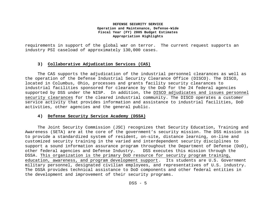requirements in support of the global war on terror. The current request supports an industry PSI caseload of approximately 130,000 cases.

#### **3) Collaborative Adjudication Services (CAS)**

The CAS supports the adjudication of the industrial personnel clearances as well as the operation of the Defense Industrial Security Clearance Office (DISCO). The DISCO, located in Columbus, Ohio, processes and grants facility security clearances to industrial facilities sponsored for clearance by the DoD for the 24 federal agencies supported by DSS under the NISP. In addition, the DISCO adjudicates and issues personnel security clearances for the cleared industrial community. The DISCO operates a customer service activity that provides information and assistance to industrial facilities, DoD activities, other agencies and the general public.

#### **4) Defense Security Service Academy (DSSA)**

The Joint Security Commission (JSC) recognizes that Security Education, Training and Awareness (SETA) are at the core of the government's security mission. The DSS mission is to provide a standardized system of resident, on-site, distance learning, on-line and customized security training in the varied and interdependent security disciplines to support a sound information assurance program throughout the Department of Defense (DoD), other federal agencies and Defense Industry. DSS executes this mission through the DSSA. This organization is the primary DoD resource for security program training, education, awareness, and program development support. Its students are U.S. Government military personnel, designated civilian employees, and representatives of U.S. industry. The DSSA provides technical assistance to DoD components and other federal entities in the development and improvement of their security programs.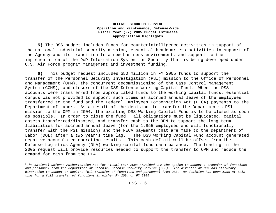**5)** The DSS budget includes funds for counterintelligence activities in support of the national industrial security mission, essential headquarters activities in support of the Agency and its transition to a new business environment, and support to the implementation of the DoD Information System for Security that is being developed under U.S. Air Force program management and investment funding.

**6)** This budget request includes \$50 million in FY 2005 funds to support the transfer of the Personnel Security Investigation (PSI) mission to the Office of Personnel and Management (OPM), the concurrent decommissioning of the Case Control Management System (CCMS), and closure of the DSS Defense Working Capital Fund. When the DSS accounts were transferred from appropriated funds to the working capital funds, essential corpus was not provided to support such items as accrued annual leave of the employees transferred to the fund and the Federal Employees Compensation Act (FECA) payments to the Department of Labor. As a result of the decision to transfer the Department's PSI mission to the OPM in 2004, the existing DSS Working Capital Fund is to be closed as soon as possible. In order to close the fund: all obligations must be liquidated; capital assets transferred/disposed; and transfer cash to the OPM to support the long term liabilities for accrued annual leave (for the 1,855 employees who will functionally transfer with the PSI mission) and the FECA payments that are made to the Department of Labor (DOL) after a two year's time lag. The DSS Working Capital Fund account generated negative accumulated operating results. This cash deficit will be offset from the Defense Logistics Agency (DLA) working capital fund cash balance. The funding in the 2005 request will provide resources needed to support the transfer to OPM and reduce the demand for cash from the DLA.

 $\overline{a}$ 

<sup>1</sup> *The National Defense Authorization Act for Fiscal Year 2004 provided OPM the option to accept a transfer of functions and personnel from the Department of Defense, Defense Security Service (DSS). The director of OPM has statutory discretion to accept or decline full transfer of functions and personnel from DSS. No decision has been made at this time for a full transfer of functions in either FY 2004 or FY 2005.*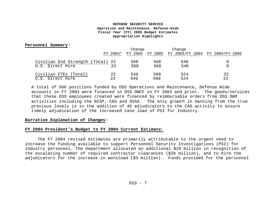#### **Personnel Summary:**

|                                  |          | Change  |     | Change                                  |    |
|----------------------------------|----------|---------|-----|-----------------------------------------|----|
|                                  | FY 2003* | FY 2004 |     | FY 2005 FY 2003/FY 2004 FY 2004/FY 2005 |    |
| Civilian End Strength (Total) 22 |          | 568     | 568 | 546                                     |    |
| U.S. Direct Hire                 | 22       | 568     | 568 | 546                                     |    |
| Civilian FTEs (Total)            | 22       | 546     | 568 | 524                                     | 22 |
| U.S. Direct Hire                 | 22       | 546     | 568 | 524                                     | 22 |

A total of 506 positions funded by DSS Operations and Maintenance, Defense Wide accounts in FY 2004 were financed in DSS DWCF in FY 2003 and prior. The goods/services that these DSS employees created were financed by reimbursable orders from DSS O&M activities including the NISP, CAS and DSSA. The only growth in manning from the true previous levels is in the addition of 40 adjudicators to the CAS activity to assure timely adjudication of the increased case load of PSI for Industry.

#### **Narrative Explanation of Changes:**

#### **FY 2004 President's Budget to FY 2004 Current Estimate**:

The FY 2004 revised estimates are primarily attributable to the urgent need to increase the funding available to support Personnel Security Investigations (PSI) for industry personnel. The Department allocated an additional \$29 million in recognition of the escalating number of required contractor clearances (\$26 million), and to hire the adjudicators for the increase in workload (\$3 million). Funds provided for the personnel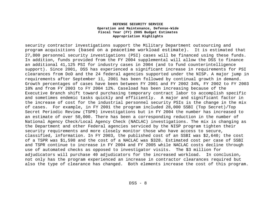security contractor investigations support the Military Department outsourcing and program acquisitions (based on a peacetime workload estimate). It is estimated that 27,800 personnel security investigations (PSI) cases will be financed using these funds. In addition, funds provided from the FY 2004 supplemental will allow the DSS to finance an additional 41,125 PSI for industry cases in 2004 (and to fund counterintelligence support). Since 2001, DSS has experienced a significant increase in requirements for PSI clearances from DoD and the 24 federal agencies supported under the NISP. A major jump in requirements after September 11, 2001 has been followed by continual growth in demand. Growth percentages of cases have been between FY 2001 and FY 2002 34%, FY 2002 to FY 2003 10% and from FY 2003 to FY 2004 12%. Caseload has been increasing because of the Executive Branch shift toward purchasing temporary contract labor to accomplish specific and sometimes endemic tasks quickly and efficiently. A major and significant factor in the increase of cost for the industrial personnel security PSIs is the change in the mix of cases. For example, in FY 2001 the program included 28,000 SSBI (Top Secret)/Top Secret Periodic Review (TSPR) investigations but in FY 2004 the number has increased to an estimate of over 50,000. There has been a corresponding reduction in the number of National Agency Check/Local Agency Check (NACLAC) investigations. The mix is changing as the Department and other Federal agencies serviced by the NISP program tighten their security requirements and more closely monitor those who have access to secure, classified, information. In FY 2003, the published cost of an SSBI was \$2,640; the cost of a TSPR was \$1,598 and the cost of a NACLAC was \$328. Estimated cost per case of SSBI and TSPR continue to increase in FY 2004 and FY 2005 while NACLAC costs decline through use of automated checks as opposed to investigator visits. The \$3 million for adjudicators will purchase 40 adjudicators for the increased workload. In conclusion, not only has the program experienced an increase in contractor clearances required but also the type of clearance has changed. Both elements increase the cost of this program.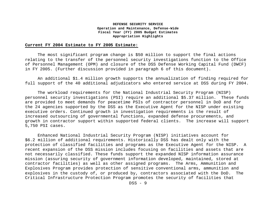#### **Current FY 2004 Estimate to FY 2005 Estimate:**

The most significant program change is \$50 million to support the final actions relating to the transfer of the personnel security investigations function to the Office of Personnel Management (OPM) and closure of the DSS Defense Working Capital Fund (DWCF) in FY 2005. (Further discussion provided in paragraph 6 of this document).

An additional \$1.4 million growth supports the annualization of finding required for full support of the 40 additional adjudicators who entered service at DSS during FY 2004.

The workload requirements for the National Industrial Security Program (NISP) personnel security investigations (PSI) require an additional \$5.37 million. These funds are provided to meet demands for peacetime PSIs of contractor personnel in DoD and for the 24 agencies supported by the DSS as the Executive Agent for the NISP under existing executive orders. Continued growth in investigation requirements is the result of increased outsourcing of governmental functions, expanded defense procurements, and growth in contractor support within supported federal clients. The increase will support 5,750 PSI cases.

Enhanced National Industrial Security Program (NISP) initiatives account for \$6.2 million of additional requirements. Historically DSS has dealt only with the protection of classified facilities and programs as the Executive Agent for the NISP. A recent expansion of the DSS mission includes focusing on facilities and assets that are not necessarily classified. These funds support the expanded NISP information assurance mission (assuring security of government information developed, maintained, stored at contractor facilities) as well as other assigned programs. The Arms, Ammunition and Explosives Program provides protection of sensitive conventional arms, ammunition and explosives in the custody of, or produced by, contractors associated with the DoD. The Critical Infrastructure Protection Program promotes the security of facilities that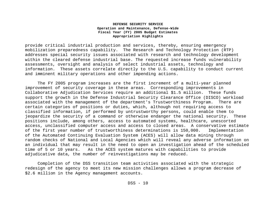provide critical industrial production and services, thereby, ensuring emergency mobilization preparedness capability. The Research and Technology Protection (RTP) addresses special security issues associated with research and technology development within the cleared defense industrial base. The requested increase funds vulnerability assessments, oversight and analysis of select industrial assets, technology and information. These assets correlate directly to the U.S. capability to conduct current and imminent military operations and other impending actions.

The FY 2005 program increases are the first increment of a multi-year planned improvement of security coverage in these areas. Corresponding improvements in Collaborative Adjudication Services require an additional \$1.5 million. These funds support the growth in the Defense Industrial Security Clearance Office (DISCO) workload associated with the management of the department's Trustworthiness Program. There are certain categories of positions or duties, which, although not requiring access to classified information, if performed by untrustworthy persons, could enable them to jeopardize the security of a command or otherwise endanger the national security. These positions include, among others, access to automated systems, healthcare, unescorted access, unclassified computer access and access to closed areas. A conservative estimate of the first year number of trustworthiness determinations is 150,000. Implementation of the Automated Continuing Evaluation System (ACES) will allow data mining through random checks of National and Local Agencies which will reveal any adverse information on an individual that may result in the need to open an investigation ahead of the scheduled time of 5 or 10 years. As the ACES system matures with capabilities to provide adjudicative data, the number of reinvestigations may be reduced.

Completion of the DSS transition team activities associated with the strategic redesign of the agency to meet its new mission challenges allows a program decrease of \$2.6 million in the Agency management accounts.

DSS - 10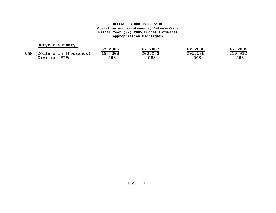#### **Outyear Summary:**

|                            | FY 2006 | FY 2007               | <b>FY 2008</b> | FY 2009              |
|----------------------------|---------|-----------------------|----------------|----------------------|
| O&M (Dollars in Thousands) | 194,608 | $\overline{200, 283}$ | 205,598        | $\overline{210,912}$ |
| Civilian FTEs              | 568     | 568                   | 568            | 568                  |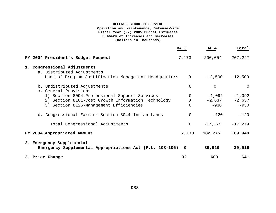# **DEFENSE SECURITY SERVICE**

#### **Operation and Maintenance, Defense-Wide Fiscal Year (FY) 2005 Budget Estimates Summary of Increases and Decreases (Dollars in Thousands)**

|                                                                                       | BA 3              | BA 4        | Total     |
|---------------------------------------------------------------------------------------|-------------------|-------------|-----------|
| FY 2004 President's Budget Request                                                    | 7,173             | 200,054     | 207,227   |
| 1. Congressional Adjustments<br>a. Distributed Adjustments                            |                   |             |           |
| Lack of Program Justification Management Headquarters                                 | $0 \qquad \qquad$ | $-12,500$   | $-12,500$ |
| b. Undistributed Adjustments<br>c. General Provisions                                 | 0                 | $\mathbf 0$ | 0         |
| 1) Section 8094-Professional Support Services                                         | $\overline{0}$    | $-1,092$    | $-1,092$  |
| 2) Section 8101-Cost Growth Information Technology                                    |                   | $-2,637$    | $-2,637$  |
| 3) Section 8126-Management Efficiencies                                               | 0                 | $-930$      | $-930$    |
| d. Congressional Earmark Section 8044-Indian Lands                                    | $\Omega$          | $-120$      | $-120$    |
| Total Congressional Adjustments                                                       | 0                 | $-17,279$   | $-17,279$ |
| FY 2004 Appropriated Amount                                                           | 7,173             | 182,775     | 189,948   |
| 2. Emergency Supplemental<br>Emergency Supplemental Appropriations Act (P.L. 108-106) | 0                 | 39,919      | 39,919    |
| 3. Price Change                                                                       | 32                | 609         | 641       |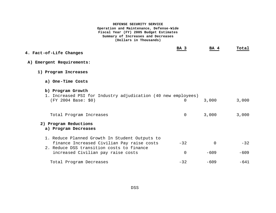#### **DEFENSE SECURITY SERVICE Operation and Maintenance, Defense-Wide Fiscal Year (FY) 2005 Budget Estimates Summary of Increases and Decreases (Dollars in Thousands)**

| 4. Fact-of-Life Changes                                                                                                                   | BA 3     | BA 4     | Total  |
|-------------------------------------------------------------------------------------------------------------------------------------------|----------|----------|--------|
| A) Emergent Requirements:                                                                                                                 |          |          |        |
| 1) Program Increases                                                                                                                      |          |          |        |
| a) One-Time Costs                                                                                                                         |          |          |        |
| b) Program Growth<br>1. Increased PSI for Industry adjudication (40 new employees)<br>(FY 2004 Base: \$0)                                 | 0        | 3,000    | 3,000  |
| Total Program Increases                                                                                                                   | $\Omega$ | 3,000    | 3,000  |
| 2) Program Reductions<br>a) Program Decreases                                                                                             |          |          |        |
| 1. Reduce Planned Growth In Student Outputs to<br>finance Increased Civilian Pay raise costs<br>2. Reduce DSS transition costs to finance | $-32$    | $\Omega$ | $-32$  |
| increased Civilian pay raise costs                                                                                                        | $\Omega$ | $-609$   | $-609$ |
| Total Program Decreases                                                                                                                   | $-32$    | $-609$   | $-641$ |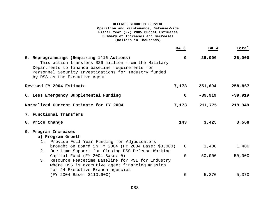#### **DEFENSE SECURITY SERVICE Operation and Maintenance, Defense-Wide Fiscal Year (FY) 2005 Budget Estimates Summary of Increases and Decreases (Dollars in Thousands)**

|                                                                                                                                                                                                                                                  | BA 3        | BA 4      | Total     |
|--------------------------------------------------------------------------------------------------------------------------------------------------------------------------------------------------------------------------------------------------|-------------|-----------|-----------|
| 5. Reprogrammings (Requiring 1415 Actions)<br>This action transfers \$26 million from the Military<br>Departments to finance baseline requirements for<br>Personnel Security Investigations for Industry funded<br>by DSS as the Executive Agent | $\mathbf 0$ | 26,000    | 26,000    |
| Revised FY 2004 Estimate                                                                                                                                                                                                                         | 7,173       | 251,694   | 258,867   |
| 6. Less Emergency Supplemental Funding                                                                                                                                                                                                           | $\mathbf 0$ | $-39,919$ | $-39,919$ |
| Normalized Current Estimate for FY 2004                                                                                                                                                                                                          | 7,173       | 211,775   | 218,948   |
| 7. Functional Transfers                                                                                                                                                                                                                          |             |           |           |
| 8. Price Change                                                                                                                                                                                                                                  | 143         | 3,425     | 3,568     |
| 9. Program Increases                                                                                                                                                                                                                             |             |           |           |
| a) Program Growth                                                                                                                                                                                                                                |             |           |           |
| 1. Provide Full Year Funding for Adjudicators<br>brought on Board in FY 2004 (FY 2004 Base: \$3,000)<br>One-time Support for Closing DSS Defense Working<br>2.                                                                                   | $\mathbf 0$ | 1,400     | 1,400     |
| Capital Fund (FY 2004 Base: 0)<br>Resource Peacetime Baseline for PSI for Industry<br>3.                                                                                                                                                         | $\Omega$    | 50,000    | 50,000    |
| where DSS is executive agent financing mission<br>for 24 Executive Branch agencies                                                                                                                                                               |             |           |           |
| (FY 2004 Base: \$110,900)                                                                                                                                                                                                                        | 0           | 5,370     | 5,370     |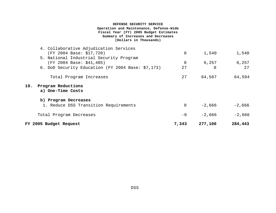#### **DEFENSE SECURITY SERVICE Operation and Maintenance, Defense-Wide Fiscal Year (FY) 2005 Budget Estimates Summary of Increases and Decreases (Dollars in Thousands)**

|     | FY 2005 Budget Request                                              | 7,343       | 277,100  | 284,443  |
|-----|---------------------------------------------------------------------|-------------|----------|----------|
|     | Total Program Decreases                                             | $-0$        | $-2,666$ | $-2,666$ |
|     | b) Program Decreases<br>1. Reduce DSS Transition Requirements       | $\mathbf 0$ | $-2,666$ | $-2,666$ |
| 10. | Program Reductions<br>a) One-Time Costs                             |             |          |          |
|     | Total Program Increases                                             | 27          | 64,567   | 64,594   |
|     | 6. DoD Security Education (FY 2004 Base: \$7,173)                   | 27          | 0        | 27       |
|     | 5. National Industrial Security Program<br>(FY 2004 Base: \$41,485) | 0           | 6,257    | 6,257    |
|     | 4. Collaborative Adjudication Services<br>(FY 2004 Base: \$17,720)  | $\mathbf 0$ | 1,540    | 1,540    |
|     |                                                                     |             |          |          |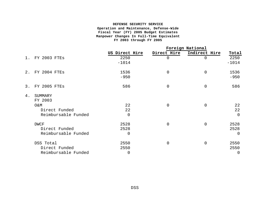#### **DEFENSE SECURITY SERVICE Operation and Maintenance, Defense-Wide Fiscal Year (FY) 2005 Budget Estimates Manpower Changes In Full-Time Equivalent FY 2003 through FY 2005**

|       |                     |                |                | Foreign National |             |
|-------|---------------------|----------------|----------------|------------------|-------------|
|       |                     | US Direct Hire | Direct Hire    | Indirect Hire    | Total       |
| $1$ . | FY 2003 FTES        | 2250           | 0              | 0                | 2250        |
|       |                     | $-1014$        |                |                  | $-1014$     |
|       | 2. FY 2004 FTES     | 1536           | $\mathbf 0$    | $\mathbf 0$      | 1536        |
|       |                     | $-950$         |                |                  | $-950$      |
| 3.    | <b>FY 2005 FTES</b> | 586            | $\overline{0}$ | $\overline{0}$   | 586         |
| 4.    | SUMMARY             |                |                |                  |             |
|       | FY 2003             |                |                |                  |             |
|       | O&M                 | 22             | $\overline{0}$ | $\overline{0}$   | 22          |
|       | Direct Funded       | 22             |                |                  | 22          |
|       | Reimbursable Funded | $\mathbf 0$    |                |                  | $\mathbf 0$ |
|       | DWCF                | 2528           | $\Omega$       | $\overline{0}$   | 2528        |
|       | Direct Funded       | 2528           |                |                  | 2528        |
|       | Reimbursable Funded | $\Omega$       |                |                  | $\Omega$    |
|       | DSS Total           | 2550           | 0              | $\Omega$         | 2550        |
|       | Direct Funded       | 2550           |                |                  | 2550        |
|       | Reimbursable Funded | $\Omega$       |                |                  | $\Omega$    |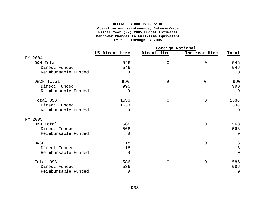#### **DEFENSE SECURITY SERVICE Operation and Maintenance, Defense-Wide Fiscal Year (FY) 2005 Budget Estimates Manpower Changes In Full-Time Equivalent FY 2003 through FY 2005**

|                     |                |                | Foreign National |          |
|---------------------|----------------|----------------|------------------|----------|
|                     | US Direct Hire | Direct Hire    | Indirect Hire    | Total    |
| FY 2004             |                |                |                  |          |
| O&M Total           | 546            | $\overline{0}$ | $\overline{0}$   | 546      |
| Direct Funded       | 546            |                |                  | 546      |
| Reimbursable Funded | $\Omega$       |                |                  | $\Omega$ |
| DWCF Total          | 990            | $\mathbf 0$    | $\mathbf 0$      | 990      |
| Direct Funded       | 990            |                |                  | 990      |
| Reimbursable Funded | $\Omega$       |                |                  | $\Omega$ |
| Total DSS           | 1536           | $\overline{0}$ | $\mathbf 0$      | 1536     |
| Direct Funded       | 1538           |                |                  | 1536     |
| Reimbursable Funded | $\Omega$       |                |                  | 10       |
| FY 2005             |                |                |                  |          |
| O&M Total           | 568            | $\overline{0}$ | 0                | 568      |
| Direct Funded       | 568            |                |                  | 568      |
| Reimbursable Funded | $\Omega$       |                |                  | $\Omega$ |
| <b>DWCF</b>         | 18             | $\overline{0}$ | $\mathbf 0$      | 18       |
| Direct Funded       | 18             |                |                  | 18       |
| Reimbursable Funded | $\Omega$       |                |                  | $\Omega$ |
| Total DSS           | 586            | $\mathbf 0$    | $\mathbf 0$      | 586      |
| Direct Funded       | 586            |                |                  | 586      |
| Reimbursable Funded | $\mathbf 0$    |                |                  | $\Omega$ |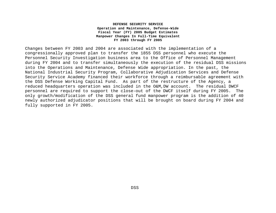#### **DEFENSE SECURITY SERVICE Operation and Maintenance, Defense-Wide Fiscal Year (FY) 2005 Budget Estimates Manpower Changes In Full-Time Equivalent FY 2003 through FY 2005**

Changes between FY 2003 and 2004 are associated with the implementation of a congressionally approved plan to transfer the 1855 DSS personnel who execute the Personnel Security Investigation business area to the Office of Personnel Management during FY 2004 and to transfer simultaneously the execution of the residual DSS missions into the Operations and Maintenance, Defense Wide appropriation. In the past, the National Industrial Security Program, Collaborative Adjudication Services and Defense Security Service Academy financed their workforce through a reimbursable agreement with the DSS Defense Working Capital Fund. As part of the restructure of the Agency, a reduced headquarters operation was included in the O&M,DW account. The residual DWCF personnel are required to support the close-out of the DWCF itself during FY 2005. The only growth/modification of the DSS general fund manpower program is the addition of 40 newly authorized adjudicator positions that will be brought on board during FY 2004 and fully supported in FY 2005.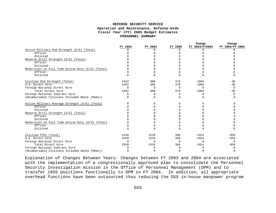#### **DEFENSE SECURITY SERVICE Operation and Maintenance, Defense-Wide Fiscal Year (FY) 2005 Budget Estimates PERSONNEL SUMMARY**

|                                                   |          |          |          | Change         | Change          |
|---------------------------------------------------|----------|----------|----------|----------------|-----------------|
|                                                   | FY 2003  | FY 2004  | FY 2005  | FY 2003/FY2004 | FY 2004/FY 2005 |
| Active Military End Strength (E/S) (Total)        |          |          | O        | U              |                 |
| Officer                                           |          |          |          |                |                 |
| Enlisted                                          |          |          |          |                |                 |
| Reserve Drill Strength (E/S) (Total)              |          |          |          |                |                 |
| Officer                                           |          |          |          |                |                 |
| Enlisted                                          |          |          |          |                |                 |
| Reservists on Full Time Active Duty (E/S) (Total) |          |          |          |                |                 |
| Officer                                           |          |          |          |                |                 |
| Enlisted                                          |          |          | $\Omega$ |                |                 |
| Civilian End Strength (Total)                     | 2492     | 608      | 578      | $-1884$        | $-30$           |
| U.S. Direct Hire                                  | 2492     | 608      | 578      | $-1884$        | $-30$           |
| Foreign National Direct Hire                      | $\Omega$ | $\Omega$ | $\Omega$ | $\Omega$       | $\Omega$        |
| Total Direct Hire                                 | 2492     | 608      | 578      | $-1884$        | $-30$           |
| Foreign National Indirect Hire                    | O        | $\Omega$ | $\Omega$ | U              |                 |
| (Reimbursable Civilians Included Above (Memo))    |          |          | $\cap$   |                |                 |
| Active Military Average Strength (A/S) (Total)    |          |          |          |                |                 |
| Officer                                           |          |          |          |                |                 |
| Enlisted                                          |          |          |          |                |                 |
| Reserve Drill Strength (A/S) (Total)              |          |          |          |                |                 |
| Officer                                           |          |          |          |                |                 |
| Enlisted                                          |          |          |          |                |                 |
| Reservists on Full Time Active Duty (A/S) (Total) |          |          |          |                |                 |
| Officer                                           |          |          |          |                |                 |
| Enlisted                                          |          |          | $\cap$   |                |                 |
| Civilian FTEs (Total)                             | 2550     | 1536     | 586      | $-1014$        | $-950$          |
| U.S. Direct Hire                                  | 2550     | 1536     | 586      | $-1014$        | $-950$          |
| Foreign National Direct Hire                      | $\Omega$ | $\Omega$ | $\Omega$ | $\Omega$       | $\cap$          |
| Total Direct Hire                                 | 2550     | 1536     | 586      | $-1014$        | $-950$          |
| Foreign National Indirect Hire                    |          |          |          |                |                 |
| (Reimbursable Civilians Included Above (Memo))    |          |          | $\cap$   | 0              |                 |

Explanation of Changes Between Years: Changes between FY 2003 and 2004 are associated with the implementation of a congressionally approved plan to consolidate the Personnel Security Investigation mission in the Office of Personnel Management (OPM) and to transfer 1855 positions functionally to OPM in FY 2004. In addition, all appropriate overhead functions have been outsourced thus reducing the DSS in-house manpower program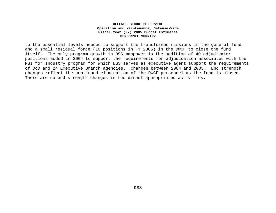#### **DEFENSE SECURITY SERVICE Operation and Maintenance, Defense-Wide Fiscal Year (FY) 2005 Budget Estimates PERSONNEL SUMMARY**

to the essential levels needed to support the transformed missions in the general fund and a small residual force (10 positions in FY 2005) in the DWCF to close the fund itself. The only program growth in DSS manpower is the addition of 40 adjudicator positions added in 2004 to support the requirements for adjudication associated with the PSI for Industry program for which DSS serves as executive agent support the requirements of DoD and 24 Executive Branch agencies. Changes between 2004 and 2005: End strength changes reflect the continued elimination of the DWCF personnel as the fund is closed. There are no end strength changes in the direct appropriated activities.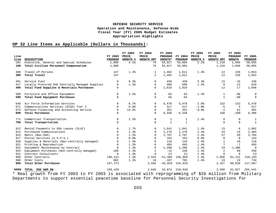# **OP 32 Line Items as Applicable (Dollars in Thousands):**

| Line |                                                                                                      | FY 2003      | FY 2004<br>PRICE | FY 2004<br>PRICE  | FY 2004<br>PROGRAM | FY 2004 | FY 2005<br>PRICE | FY 2005<br>PRICE  | FY 2005<br>PROGRAM | FY 2005      |
|------|------------------------------------------------------------------------------------------------------|--------------|------------------|-------------------|--------------------|---------|------------------|-------------------|--------------------|--------------|
| Item | DESCRIPTION                                                                                          | PROGRAM      | <b>GROWTH %</b>  | <b>GROWTH AMT</b> | GROWTH*            | PROGRAM | <b>GROWTH %</b>  | <b>GROWTH AMT</b> | <b>GROWTH</b>      | PROGRAM      |
| 101  | Executive, General and Special Schedules                                                             | 1,909        | 4.1%             | 78                | 53,017             | 55,004  | 2.2%             | 1,210             | 1,840              | 58,055       |
| 199  | Total Civilian Personnel Compensation                                                                | 1,909        |                  | 78                | 53,017             | 55,004  |                  | 1,210             | 1,840              | 58,055       |
| 308  | Travel of Persons                                                                                    | 147          | 1.3%             | 2                 | 1,462              | 1,611   | 1.4%             | 22                | 220                | 1,853        |
| 399  | Total Travel                                                                                         | 147          |                  | 2                 | 1,462              | 1,611   |                  | 22                | 220                | 1,853        |
| 401  | Service Fuel                                                                                         | $\Omega$     | 8.3%             | $\Omega$          | 439                | 439     | 3.3%             | 15                | $-15$              | 439          |
| 417  | Locally Procured DoD Centrally Managed Supplies                                                      | $\Omega$     | 1.3%             | $\Omega$          | 580                | 580     | 1.4%             | 8                 | 22                 | 610          |
| 499  | Total Fund Supplies & Materials Purchases                                                            | $\Omega$     |                  | $\Omega$          | 1,019              | 1,019   |                  | 12                | 17                 | 1,048        |
| 508  | Furniture and Office Equipment                                                                       | $\mathbf{0}$ | 1.3%             | $\mathbf 0$       | 65                 | 65      | 1.4%             | $\mathbf{1}$      | -66                | $\Omega$     |
| 599  | Total Fund Equipment Purchases                                                                       | $\Omega$     |                  | $\Omega$          | 65                 | 65      |                  | $\mathbf{1}$      | $-66$              | $\mathbf 0$  |
| 649  | Air Force Information Services                                                                       | $\Omega$     | 8.7%             | 0                 | 5,470              | 5,470   | 2.8%             | 152               | $-152$             | 5,470        |
| 671  | Communications Services (DISA) Tier 2                                                                | $\Omega$     | 0.0%             | $\mathbf 0$       | 517                | 517     | $-1.0%$          | $-5$              | 5                  | 517          |
| 673  | Defense Financing and Accounting Service                                                             | $\Omega$     | 14.2%            | 0                 | 351                | 351     | $-0.6%$          | $-2$              | 52                 | 401          |
| 699  | Total Purchases                                                                                      | $\Omega$     |                  | $\Omega$          | 6,338              | 6,338   |                  | 150               | $-100$             | 6,388        |
| 771  | Commercial Transportation                                                                            | $\mathbf 0$  | 1.3%             | 0                 | 1                  | 1       | 1.4%             | 0                 | $\mathbf 0$        | 1            |
| 799  | Total Transportation                                                                                 | $\cap$       |                  | $\Omega$          | $\mathbf{1}$       | 1       |                  | $\Omega$          | $\Omega$           | $\mathbf{1}$ |
| 912  | Rental Payments to GSA Leases (SLUC)                                                                 | $\Omega$     | 1.7%             | $\Omega$          | 1,041              | 1,041   | 1.4%             | 15                | 6                  | 1,062        |
| 914  | Purchased Communications                                                                             | $\Omega$     | 1.3%             | 0                 | 1,270              | 1,270   | 1.4%             | 18                | 16                 | 1,304        |
| 915  | Rents (Non-GSA)                                                                                      | $\Omega$     | 1.3%             | $\Omega$          | 2,707              | 2,707   | 1.4%             | 37                | 40                 | 2,784        |
| 917  | Postal Services (U.S.P.S.)                                                                           | $\Omega$     | 0.0%             | $\Omega$          | 153                | 153     | 0.0%             | $\Omega$          | $\Omega$           | 153          |
| 920  | Supplies & Materials (Non-centrally managed)                                                         | $\Omega$     | 1.3%             | $\Omega$          | 110                | 110     | 1.4%             | 1                 | 18                 | 129          |
| 921  | Printing & Reproduction                                                                              | $\Omega$     | 1.3%             | 0                 | 493                | 493     | 1.4%             | 7                 | $-7$               | 493          |
| 922  | Equipment Maintenance by Contract                                                                    | $\Omega$     | 1.3%             | $\mathbf 0$       | 1,288              | 1,288   | 1.4%             | 18                | $-1,306$           | $\mathbf 0$  |
| 925  | Equipment Purchases (Non-centrally managed)                                                          | 160          | 1.3%             | $\overline{c}$    | $-12$              | 150     | 1.4%             | 2                 | 98                 | 250          |
| 931  | Contract Consultants                                                                                 | $\Omega$     | 1.3%             | $\mathbf 0$       | 23                 | 23      | 1.4%             | $\Omega$          | $\mathbf 0$        | 23           |
| 989  | Other Contracts                                                                                      | 196,411      | 1.3%             | 2,553             | $-51,995$          | 146,969 | 1.4%             | 2,058             | 61,131             | 210,165      |
| 998  | Other Costs                                                                                          | 802          | 1.3%             | 10                | $-107$             | 705     | 1.4%             | 10                | 19                 | 734          |
| 999  | Total Other Purchases                                                                                | 197,373      |                  | 2,566             | $-45,029$          | 154,910 |                  | 2,167             | 60,020             | 217,097      |
| 9999 | TOTAL DSS O&M DW                                                                                     | 199,429      |                  | 2,646             | 16,873             | 218,948 |                  | 3,568             | 61,927             | 284,443      |
|      | * Real growth from FY 2003 to FY 2003 is associated with reprogramming of \$26 million from Military |              |                  |                   |                    |         |                  |                   |                    |              |
|      | Departments to support essential peacetime baseline for Personnel Security Investigations for        |              |                  |                   |                    |         |                  |                   |                    |              |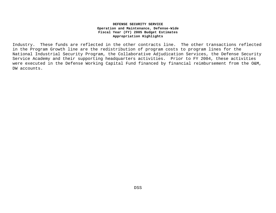Industry. These funds are reflected in the other contracts line. The other transactions reflected in the Program Growth line are the redistribution of program costs to program lines for the National Industrial Security Program, the Collaborative Adjudication Services, the Defense Security Service Academy and their supporting headquarters activities. Prior to FY 2004, these activities were executed in the Defense Working Capital Fund financed by financial reimbursement from the O&M, DW accounts.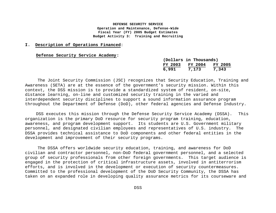#### **I. Description of Operations Financed**:

#### **Defense Security Service Academy:**

|         | (Dollars in Thousands) |                |
|---------|------------------------|----------------|
| FY 2003 | FY 2004                | <b>FY 2005</b> |
| 6,991   | 7,173                  | 7,343          |

The Joint Security Commission (JSC) recognizes that Security Education, Training and Awareness (SETA) are at the essence of the government's security mission. Within this context, the DSS mission is to provide a standardized system of resident, on-site, distance learning, on-line and customized security training in the varied and interdependent security disciplines to support a sound information assurance program throughout the Department of Defense (DoD), other federal agencies and Defense Industry.

DSS executes this mission through the Defense Security Service Academy (DSSA). This organization is the primary DoD resource for security program training, education, awareness, and program development support. Its students are U.S. Government military personnel, and designated civilian employees and representatives of U.S. industry. The DSSA provides technical assistance to DoD components and other federal entities in the development and improvement of their security programs.

The DSSA offers worldwide security education, training, and awareness for DoD civilian and contractor personnel, non-DoD federal government personnel, and a selected group of security professionals from other foreign governments. This target audience is engaged in the protection of critical infrastructure assets, involved in antiterrorism efforts, and is involved in the development or execution of security countermeasures. Committed to the professional development of the DoD Security Community, the DSSA has taken on an expanded role in developing quality assurance metrics for its courseware and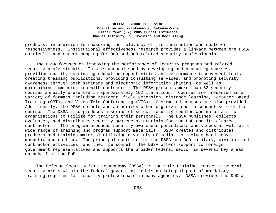products, in addition to measuring the relevancy of its instruction and customer responsiveness. Institutional effectiveness research provides a linkage between the DSSA curriculum and career mapping for DoD and DoD-related security professionals.

The DSSA focuses on improving the performance of security programs and related security professionals. This is accomplished by developing and producing courses, providing quality continuing education opportunities and performance improvement tools, creating training publications, providing consulting services, and promoting security awareness through both seminars and electronic information sharing, as well as maintaining communication with customers. The DSSA presents more than 62 security courses annually presented in approximately 162 iterations. Courses are presented in a variety of formats including resident, field extension, distance learning, Computer Based Training (CBT), and Video Tele-Conferencing (VTC). Customized courses are also provided. Additionally, the DSSA selects and authorizes other organizations to conduct some of the courses. The DSSA also produces a series of select security modules and materials for organizations to utilize for training their personnel. The DSSA publishes, collects, evaluates, and distributes security awareness materials for the DoD and its cleared contractors. The program produces security awareness periodicals and videos as well as a wide range of training and program support materials. DSSA creates and distributes products and training material utilizing a variety of media, to include hard copy, magnetic and on-line. The principal customers of the DSSA are DoD military, civilian and contractor activities, and their personnel. The DSSA offers support to foreign government representatives and supports the broader federal sector in several key areas on behalf of the DoD.

The Defense Security Service Academy (DSSA) is the sole training source in several security areas within the federal government and is an integral part of mandatory training required for security professionals in many agencies. DSSA provides the DoD a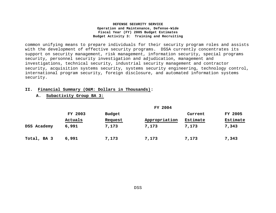common unifying means to prepare individuals for their security program roles and assists with the development of effective security programs. DSSA currently concentrates its support on security management, risk management, information security, special programs security, personnel security investigation and adjudication, management and investigations, technical security, industrial security management and contractor security, acquisition systems security, systems security engineering, technology control, international program security, foreign disclosure, and automated information systems security.

#### **II. Financial Summary (O&M: Dollars in Thousands):**

# **A. Subactivity Group BA 3:**

|             | FY 2003 | Budget  |               | Current  | <b>FY 2005</b> |
|-------------|---------|---------|---------------|----------|----------------|
|             | Actuals | Request | Appropriation | Estimate | Estimate       |
| DSS Academy | 6,991   | 7,173   | 7,173         | 7,173    | 7,343          |
| Total, BA 3 | 6,991   | 7,173   | 7,173         | 7,173    | 7,343          |

**FY 2004**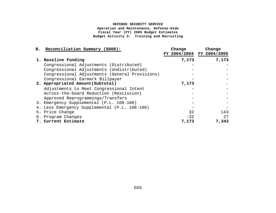## **DEFENSE SECURITY SERVICE**

**Operation and Maintenance, Defense-Wide Fiscal Year (FY) 2005 Budget Estimates Budget Activity 3: Training and Recruiting**

| B. Reconciliation Summary (\$000):               | Change | Change<br>FY 2004/2004 FY 2004/2005 |
|--------------------------------------------------|--------|-------------------------------------|
| 1. Baseline Funding                              | 7,173  | 7,173                               |
| Congressional Adjustments (Distributed)          |        |                                     |
| Congressional Adjustments (Undistributed)        |        |                                     |
| Congressional Adjustments (General Provisions)   |        |                                     |
| Congressional Earmark Billpayer                  |        |                                     |
| 2. Appropriated Amount(Subtotal)                 | 7,173  |                                     |
| Adjustments to Meet Congressional Intent         |        |                                     |
| Across-the-board Reduction (Rescission)          |        |                                     |
| Approved Reprogrammings/Transfers                |        |                                     |
| 3. Emergency Supplemental (P.L. 108-106)         |        |                                     |
| Less Emergency Supplemental (P.L. 108-106)<br>4. |        |                                     |
| 5. Price Change                                  | 32     | 143                                 |
| 6. Program Changes                               | $-32$  | 27                                  |
| 7. Current Estimate                              | 7,173  | 7,343                               |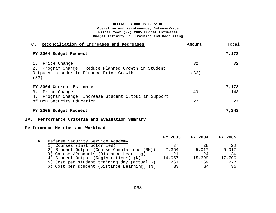| Reconciliation of Increases and Decreases:<br>$\mathsf{C}$ .                   | Amount | Total |
|--------------------------------------------------------------------------------|--------|-------|
| FY 2004 Budget Request                                                         |        | 7,173 |
| Price Change<br>1.<br>Program Change: Reduce Planned Growth in Student<br>2.   | 32     | 32    |
| Outputs in order to Finance Price Growth<br>(32)                               | (32)   |       |
| FY 2004 Current Estimate                                                       |        | 7,173 |
| Price Change<br>3.<br>Program Change: Increase Student Output in Support<br>4. | 143    | 143   |
| of DoD Security Education                                                      | 27     | 2.7   |
| FY 2005 Budget Request                                                         |        | 7,343 |

# **IV. Performance Criteria and Evaluation Summary:**

# **Performance Metrics and Workload**

|    |                                                      | FY 2003 | FY 2004 | FY 2005 |
|----|------------------------------------------------------|---------|---------|---------|
| Α. | Defense Security Service Academy                     |         |         |         |
|    | 1) Courses (Instructor led)                          | 37      | 28      | -28     |
|    | 2) Student Output (Course Completions (\$K))         | 7,364   | 5,017   | 5,017   |
|    | 3) Courses/Products (Distance Learning)              | 21      | 2.4     | 24      |
|    | 4) Student Output (Registrations) (K)                | 14,957  | 15,399  | 17,709  |
|    | 5) Cost per student training day (actual $\hat{y}$ ) | 261     | 269     | 277     |
|    | 6) Cost per student (Distance Learning) (\$)         | 33      | 34      | 35      |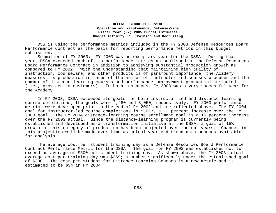DSS is using the performance metrics included in the FY 2003 Defense Resources Board Performance Contract as the basis for reporting performance metrics in this budget submission.

Summation of FY 2003: FY 2003 was an exemplary year for the DSSA. During that year, DSSA exceeded each of its performance metrics as published in the Defense Resources Board Performance Contract in addition to achieving substantial production growth as compared to FY 2002. With the understanding that maintaining high quality of instruction, courseware, and other products is of paramount importance, the Academy measures its production in terms of the number of instructor led courses produced and the number of distance learning courses and performance improvement products distributed (i.e., provided to customers). In both instances, FY 2003 was a very successful year for the Academy.

In FY 2003, DSSA exceeded its goals for both instructor-led and distance learning course completions; the goals were 4,480 and 8,050, respectively. FY 2003 performance metrics were developed prior to the end of FY 2002 and are reflected above. The FY 2004 goal for instructor-led course completions is 5,017, a 12 percent increase over the FY 2003 goal. The FY 2004 distance-learning course enrollment goal is a 15 percent increase over the FY 2003 actual. Since the distance-learning program is currently being established and developed as a transformation initiative at the DSSA, a goal of 15% growth in this category of production has been projected over the out-years. Changes in this projection will be made over time as actual year-end trend data becomes available for analysis.

The average cost per student training day is a Defense Resources Board Performance Contract Performance Metric for the DSSA. The goal for FY 2003 was established not to exceed an average of \$300 per student training day. As shown above, the FY 2003 actual average cost per training day was \$269; a number significantly under the established goal of \$300. The cost per student for Distance Learning Courses is a new metric and is estimated to be \$34 in FY 2004.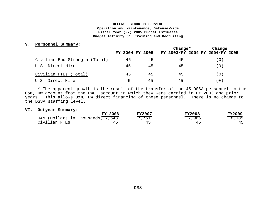#### **V. Personnel Summary:**

|                               |                 |    | $Change*$ | Change                          |
|-------------------------------|-----------------|----|-----------|---------------------------------|
|                               | FY 2004 FY 2005 |    |           | FY 2003/FY 2004 FY 2004/FY 2005 |
| Civilian End Strength (Total) | 45              | 45 | 45        | 0 <sup>1</sup>                  |
| U.S. Direct Hire              | 45              | 45 | 45        | 0                               |
| Civilian FTEs (Total)         | 45              | 45 | 45        | 0 C                             |
| U.S. Direct Hire              | 45              | 45 | 45        | . 0                             |

\* The apparent growth is the result of the transfer of the 45 DSSA personnel to the O&M, DW account from the DWCF account in which they were carried in FY 2003 and prior years. This allows O&M, DW direct financing of these personnel. There is no change to the DSSA staffing level.

#### **VI. Outyear Summary:**

| <b>FY 2006</b>                   | <b>FY2007</b> | <b>FY2008</b> | <b>FY2009</b> |
|----------------------------------|---------------|---------------|---------------|
| O&M (Dollars in Thousands) 7,543 | 7,751         | 7,965         | 8,185         |
| Civilian FTEs<br>--              |               | 4 ⊏<br>--     | 45            |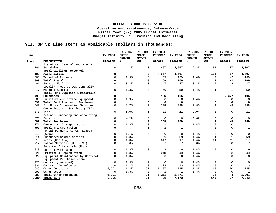# **VII. OP 32 Line Items as Applicable (Dollars in Thousands):**

| Line |                                    | FY 2003      | FY 2004<br>PRICE<br><b>GROWTH</b> | FY 2004<br>PRICE<br><b>GROWTH</b> | FY 2004<br>PROGRAM | FY 2004        | FY 2005<br>PRICE<br><b>GROWTH</b> | FY 2005<br>PRICE<br><b>GROWTH</b> | FY 2005<br>PROGRAM | FY 2005         |
|------|------------------------------------|--------------|-----------------------------------|-----------------------------------|--------------------|----------------|-----------------------------------|-----------------------------------|--------------------|-----------------|
| Item | <b>DESCRIPTION</b>                 | PROGRAM      | ℁                                 | AMT                               | <b>GROWTH</b>      | PROGRAM        | $\frac{8}{3}$                     | <b>AMT</b>                        | <b>GROWTH</b>      | PROGRAM         |
|      | Executive, General and Special     |              |                                   |                                   |                    |                |                                   |                                   |                    |                 |
| 101  | Schedules                          | $\mathsf{O}$ | 4.1%                              | $\mathbf 0$                       | 4,667              | 4,667          | 2.2%                              | 103                               | 37                 | 4,807           |
|      | Total Civilian Personnel           |              |                                   |                                   |                    |                |                                   |                                   |                    |                 |
| 199  | Compensation                       | 0            |                                   | 0                                 | 4,667              | 4,667          |                                   | 103                               | 37                 | 4,807           |
| 308  | Travel of Persons                  | $\mathbf 0$  | 1.3%                              | $\mathbf 0$                       | 169                | 169            | 1.4%                              | 2                                 | $-2$               | 169             |
| 399  | Total Travel                       | 0            |                                   | $\Omega$                          | 169                | 169            |                                   | $\overline{\mathbf{2}}$           | $-2$               | 169             |
| 401  | Service Fuel                       | $\Omega$     | 8.3%                              | $\Omega$                          | 47                 | 47             | 3.3%                              | $\overline{2}$                    | $-2$               | 47              |
|      | Locally Procured DoD Centrally     |              |                                   |                                   |                    |                |                                   |                                   |                    |                 |
|      | 417 Managed Supplies               | $\mathbf 0$  | 1.3%                              | $\mathbf 0$                       | 59                 | 59             | 1.4%                              | $\mathbf{1}$                      | $-1$               | 59              |
|      | Total Fund Supplies & Materials    |              |                                   |                                   |                    |                |                                   |                                   |                    |                 |
| 499  | Purchases                          | $\mathbf 0$  |                                   | $\mathbf 0$                       | 106                | 106            |                                   | $\overline{a}$                    | $-2.377$           | 106             |
| 508  | Furniture and Office Equipment     | $\Omega$     | 1.3%                              | $\Omega$                          | $\Omega$           | $\Omega$       | 1.4%                              | $\Omega$                          | $\Omega$           | $\mathbf 0$     |
| 599  | Total Fund Equipment Purchases     | 0            |                                   | $\mathbf 0$                       | $\mathbf 0$        | $\mathbf 0$    |                                   | 0                                 | $\mathbf 0$        | $\Omega$        |
|      | 649 Air Force Information Services | $\Omega$     | 8.7%                              | $\mathbf 0$                       | 338                | 338            | 2.8%                              | 9                                 | $-9$               | 338             |
|      | Communications Services (DISA)     |              |                                   |                                   |                    |                |                                   |                                   |                    |                 |
| 671  | Tier <sub>2</sub>                  | $\mathbf 0$  | 0.0%                              | $\mathbf 0$                       | 21                 | 21             | $-1.0$ %                          | $\mathbf 0$                       | $\mathbf 0$        | 21              |
|      | Defense Financing and Accounting   |              |                                   |                                   |                    |                |                                   |                                   |                    |                 |
| 673  | Service                            | $\Omega$     | 14.2%                             | $\Omega$                          | $\mathbf 0$        | $\Omega$       | $-0.6%$                           | $\Omega$                          | $\Omega$           | $\Omega$        |
| 699  | Total Purchases                    | $\mathbf 0$  |                                   | $\mathbf 0$                       | 359                | 359            |                                   | 9                                 | -9                 | 359             |
|      | 771 Commercial Transportation      | $\Omega$     | 1.3%                              | $\mathbf 0$                       | $\mathbf{1}$       | $\mathbf{1}$   | 1.4%                              | $\mathbf 0$                       | $\mathbf 0$        | $\mathbf{1}$    |
| 799  | Total Transportation               | 0            |                                   | $\mathbf 0$                       | $\mathbf{1}$       | $\mathbf{1}$   |                                   | 0                                 | $\Omega$           | $\mathbf{1}$    |
|      | Rental Payments to GSA Leases      |              |                                   |                                   |                    |                |                                   |                                   |                    |                 |
| 912  | (SLUC)                             | $\Omega$     | 1.7%                              | $\mathbf 0$                       | $\mathbf 0$        | $\overline{0}$ | 1.4%                              | $\mathbf 0$                       | $\mathbf 0$        | $\mathbf 0$     |
| 914  | Purchased Communications           | 0            | 1.3%                              | $\mathbf 0$                       | 59                 | 59             | 1.4%                              | $\mathbf{1}$                      | $-1$               | 59              |
| 915  | Rents (Non-GSA)                    | 0            | 1.3%                              | $\mathbf 0$                       | 817                | 817            | 1.4%                              | 11                                | $-11$              | 817             |
| 917  | Postal Services (U.S.P.S.)         | $\Omega$     | 0.0%                              | $\mathbf 0$                       | 7                  | 7              | 0.0%                              | $\mathbf 0$                       | $\mathbf 0$        | $7\overline{ }$ |
|      | Supplies & Materials (Non-         |              |                                   |                                   |                    |                |                                   |                                   |                    |                 |
| 920  | centrally managed)                 | $\Omega$     | 1.3%                              | $\mathbf 0$                       | 9                  | 9              | 1.4%                              | $\mathbf 0$                       | $\Omega$           | 9               |
| 921  | Printing & Reproduction            | $\Omega$     | 1.3%                              | $\mathbf 0$                       | 240                | 240            | 1.4%                              | 3                                 | $-3$               | 240             |
| 922  | Equipment Maintenance by Contract  | $\Omega$     | 1.3%                              | $\mathbf 0$                       | 0                  | $\Omega$       | 1.4%                              | $\Omega$                          | $\Omega$           | $\mathbf 0$     |
|      | Equipment Purchases (Non-          |              |                                   |                                   |                    |                |                                   |                                   |                    |                 |
|      | 925 centrally managed)             | $\mathbf 0$  | 1.3%                              | $\mathbf 0$                       | $\mathbf 0$        | $\mathbf 0$    | 1.4%                              | $\mathbf 0$                       | $\mathbf 0$        | $\mathbf 0$     |
| 931  | Contract Consultants               | $\Omega$     | 1.3%                              | 0                                 | 23                 | 23             | 1.4%                              | $\Omega$                          | $\mathbf 0$        | 23              |
| 989  | Other Contracts                    | 6,991        | 1.3%                              | 91                                | $-6, 367$          | 715            | 1.4%                              | 10                                | 20                 | 745             |
| 998  | Other Costs                        | $\mathbf 0$  | 1.3%                              | $\mathbf 0$                       | 1                  | 1              | 1.4%                              | $\Omega$                          | $\Omega$           | 1               |
| 999  | Total Other Purchases              | 6,991        |                                   | 91                                | $-5,211$           | 1,871          |                                   | 26                                | 4                  | 1,901           |
| 9999 | TOTAL BA 3                         | 6,991        |                                   | 91                                | 91                 | 7,173          |                                   | 143                               | 27                 | 7,343           |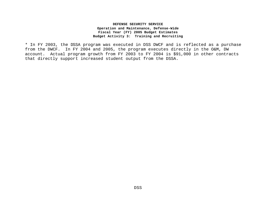\* In FY 2003, the DSSA program was executed in DSS DWCF and is reflected as a purchase from the DWCF. In FY 2004 and 2005, the program executes directly in the O&M, DW account. Actual program growth from FY 2003 to FY 2004 is \$91,000 in other contracts that directly support increased student output from the DSSA.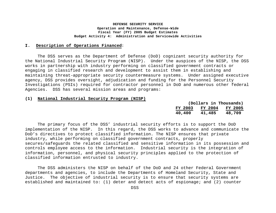# **I. Description of Operations Financed**:

The DSS serves as the Department of Defense (DoD) cognizant security authority for the National Industrial Security Program (NISP). Under the auspices of the NISP, the DSS works in partnership with industry performing on classified government contracts or engaging in classified research and development to assist them in establishing and maintaining threat-appropriate security countermeasure systems. Under assigned executive agency, DSS provides oversight, adjudication and funding for the Personnel Security Investigations (PSIs) required for contractor personnel in DoD and numerous other federal Agencies. DSS has several mission areas and programs:

#### **(1) National Industrial Security Program (NISP)**

|         | (Dollars in Thousands) |                |
|---------|------------------------|----------------|
| FY 2003 | <b>FY 2004</b>         | <b>FY 2005</b> |
| 40,400  | 41,485                 | 48,709         |

The primary focus of the DSS' industrial security efforts is to support the DoD implementation of the NISP. In this regard, the DSS works to advance and communicate the DoD's directives to protect classified information. The NISP ensures that private industry, while performing on classified government contracts, properly secures/safeguards the related classified and sensitive information in its possession and controls employee access to the information. Industrial security is the integration of information, personnel, and physical security principles applied to the protection of classified information entrusted to industry.

The DSS administers the NISP on behalf of the DoD and 24 other Federal Government departments and agencies, to include the Departments of Homeland Security, State and Justice. The objective of industrial security is to ensure that security systems are established and maintained to: (1) deter and detect acts of espionage; and (2) counter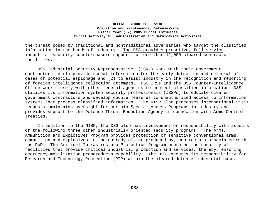the threat posed by traditional and nontraditional adversaries who target the classified information in the hands of industry. The DSS provides proactive, full-service industrial security countermeasure support to more than 12,000 cleared contractor facilities.

DSS Industrial Security Representatives (ISRs) work with their government contractors to (1) provide threat information for the early detection and referral of cases of potential espionage and (2) to assist industry in the recognition and reporting of foreign intelligence collection attempts. DSS IRSs and the DSS Counter-Intelligence Office work closely with other federal agencies to protect classified information. DSS utilizes its information system security professionals (ISSPs) to educate cleared government contractors and develop countermeasures to unauthorized access to information systems that process classified information. The NISP also processes international visit requests, maintains oversight for certain Special Access Programs in industry and provides support to the Defense Threat Reduction Agency in connection with Arms Control Treaties.

 In addition to the NISP, the DSS also has involvement or responsibility with aspects of the following three other industrially oriented security programs. The Arms, Ammunition and Explosives Program provides protection of sensitive conventional arms, ammunition and explosives in the custody of, or produced by, contractors associated with the DoD. The Critical Infrastructure Protection Program promotes the security of facilities that provide critical industrial production and services, thereby, ensuring emergency mobilization preparedness capability. The DSS executes its responsibility for Research and Technology Protection (RTP) within the cleared defense industrial base.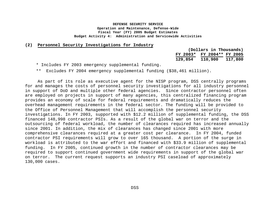#### **(2) Personnel Security Investigations for Industry**

|          | (Dollars in Thousands) |         |
|----------|------------------------|---------|
| FY 2003* | FY 2004** FY 2005      |         |
| 129,854  | 110,900                | 117,800 |

\* Includes FY 2003 emergency supplemental funding.

\*\* Excludes FY 2004 emergency supplemental funding (\$38,461 million).

As part of its role as executive agent for the NISP program, DSS centrally programs for and manages the costs of personnel security investigations for all industry personnel in support of DoD and multiple other federal agencies. Since contractor personnel often are employed on projects in support of many agencies, this centralized financing program provides an economy of scale for federal requirements and dramatically reduces the overhead management requirements in the federal sector. The funding will be provided to the Office of Personnel Management that will accomplish the personnel security investigations. In FY 2003, supported with \$12.2 million of supplemental funding, the DSS financed 148,998 contractor PSIs. As a result of the global war on terror and the outsourcing of federal workload, the number of clearances required has increased annually since 2001. In addition, the mix of clearances has changed since 2001 with more comprehensive clearances required at a greater cost per clearance. In FY 2004, funded contractor PSI requirements will grow to over 165 thousand. A portion of the surge in workload is attributed to the war effort and financed with \$33.9 million of supplemental funding. In FY 2005, continued growth in the number of contractor clearances may be required to support continued government wide requirements in support of the global war on terror. The current request supports an industry PSI caseload of approximately 130,000 cases.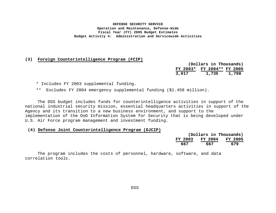#### **(3) Foreign Counterintelligence Program (FCIP)**

|          | (Dollars in Thousands) |  |       |
|----------|------------------------|--|-------|
| FY 2003* | FY 2004** FY 2005      |  |       |
| 3,017    | 1,735                  |  | 1,798 |

\* Includes FY 2003 supplemental funding.

\*\* Excludes FY 2004 emergency supplemental funding (\$1.458 million).

The DSS budget includes funds for counterintelligence activities in support of the national industrial security mission, essential headquarters activities in support of the Agency and its transition to a new business environment, and support to the implementation of the DoD Information System for Security that is being developed under U.S. Air Force program management and investment funding.

 **(4) Defense Joint Counterintelligence Program (DJCIP)**

|     |     | (Dollars in Thousands)  |
|-----|-----|-------------------------|
|     |     | FY 2003 FY 2004 FY 2005 |
| 667 | 667 | 679                     |

The program includes the costs of personnel, hardware, software, and data correlation tools.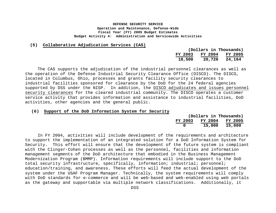#### **(5) Collaborative Adjudication Services (CAS)**

|         |                | (Dollars in Thousands) |
|---------|----------------|------------------------|
| FY 2003 | <b>FY 2004</b> | <b>FY 2005</b>         |
| 18,500  | 20,720         | 24,164                 |

The CAS supports the adjudication of the industrial personnel clearances as well as the operation of the Defense Industrial Security Clearance Office (DISCO). The DISCO, located in Columbus, Ohio, processes and grants facility security clearances to industrial facilities sponsored for clearance by the DoD for the 24 federal agencies supported by DSS under the NISP. In addition, the DISCO adjudicates and issues personnel security clearances for the cleared industrial community. The DISCO operates a customer service activity that provides information and assistance to industrial facilities, DoD activities, other agencies and the general public.

#### **(6) Support of the DoD Information System for Security**

|         | (Dollars in Thousands) |         |
|---------|------------------------|---------|
| FY 2003 | FY 2004                | FY 2005 |
| o       | 15,000                 | 15,000  |

In FY 2004, activities will include development of the requirements and architecture to support the implementation of an integrated solution for a DoD Information System for Security. This effort will ensure that the development of the future system is compliant with the Clinger-Cohen processes as well as the personnel, facilities and information management segments of the DoD architecture that embodied in the Business Management Modernization Program (BMMP). Information requirements will include support to the DoD total security infrastructure, specifically, information; industrial; personnel; education/training, and awareness. These efforts will feed the actual development of the system under the USAF Program Manager. Technically, the system requirements will comply with DoD standards for e-commerce and will be web-based and web-enabled using web portals as the gateway and supportable via multiple network classifications. Additionally, it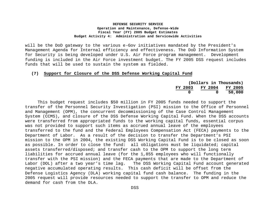will be the DoD gateway to the various e-Gov initiatives mandated by the President's Management Agenda for Internal efficiency and effectiveness. The DoD Information System for Security is being developed under U.S. Air Force program management. Development funding is included in the Air Force investment budget. The FY 2005 DSS request includes funds that will be used to sustain the system as fielded.

#### **(7) Support for Closure of the DSS Defense Working Capital Fund**

|         |         | (Dollars in Thousands) |         |
|---------|---------|------------------------|---------|
| FY 2003 | FY 2004 |                        | FY 2005 |
|         | n       |                        | 50,000  |

This budget request includes \$50 million in FY 2005 funds needed to support the transfer of the Personnel Security Investigation (PSI) mission to the Office of Personnel and Management (OPM), the concurrent decommissioning of the Case Control Management System (CCMS), and closure of the DSS Defense Working Capital Fund. When the DSS accounts were transferred from appropriated funds to the working capital funds, essential corpus was not provided to support such items as accrued annual leave of the employees transferred to the fund and the Federal Employees Compensation Act (FECA) payments to the Department of Labor. As a result of the decision to transfer the Department's PSI mission to the OPM in 2004, the existing DSS Working Capital Fund is to be closed as soon as possible. In order to close the fund: all obligations must be liquidated; capital assets transferred/disposed; and transfer cash to the OPM to support the long term liabilities for accrued annual leave (for the 1,855 employees who will functionally transfer with the PSI mission) and the FECA payments that are made to the Department of Labor (DOL) after a two year's time lag. The DSS Working Capital Fund account generated negative accumulated operating results. This cash deficit will be offset from the Defense Logistics Agency (DLA) working capital fund cash balance. The funding in the 2005 request will provide resources needed to support the transfer to OPM and reduce the demand for cash from the DLA.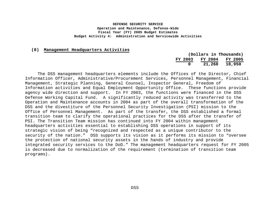#### **(8) Management Headquarters Activities**

|         |         | (Dollars in Thousands) |
|---------|---------|------------------------|
| FY 2003 | FY 2004 | FY 2005                |
| 0       | 21,268  | 18,950                 |

The DSS management headquarters elements include the Offices of the Director, Chief Information Officer, Administrative/Procurement Services, Personnel Management, Financial Management, Strategic Planning, General Counsel, Inspector General, Freedom of Information activities and Equal Employment Opportunity Office. These functions provide agency wide direction and support. In FY 2003, the functions were financed in the DSS Defense Working Capital Fund. A significantly reduced activity was transferred to the Operation and Maintenance accounts in 2004 as part of the overall transformation of the DSS and the divestiture of the Personnel Security Investigation (PSI) mission to the Office of Personnel Management. As part of the transfer, the DSS established a formal transition team to clarify the operational practices for the DSS after the transfer of PSI. The Transition Team mission has continued into FY 2004 within management headquarters activities essential to establishing DSS operations in support of its strategic vision of being "recognized and respected as a unique contributor to the security of the nation." DSS supports its vision as it performs its mission to "oversee the protection of national security assets in the hands of industry and provide integrated security services to the DoD." The management headquarters request for FY 2005 is decreased due to normalization of the requirement (termination of transition team programs).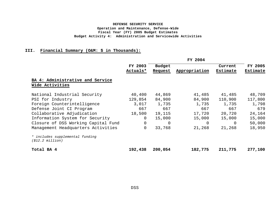# **III. Financial Summary (O&M: \$ in Thousands):**

|                                                               | FY 2004  |         |               |          |                |
|---------------------------------------------------------------|----------|---------|---------------|----------|----------------|
|                                                               | FY 2003  | Budget  |               | Current  | <b>FY 2005</b> |
|                                                               | Actuals* | Request | Appropriation | Estimate | Estimate       |
| BA 4: Administrative and Service                              |          |         |               |          |                |
| Wide Activities                                               |          |         |               |          |                |
| National Industrial Security                                  | 40,400   | 44,869  | 41,485        | 41,485   | 48,709         |
| PSI for Industry                                              | 129,854  | 84,900  | 84,900        | 110,900  | 117,800        |
| Foreign Counterintelligence                                   | 3,017    | 1,735   | 1,735         | 1,735    | 1,798          |
| Defense Joint CI Program                                      | 667      | 667     | 667           | 667      | 679            |
| Collaborative Adjudication                                    | 18,500   | 19,115  | 17,720        | 20,720   | 24,164         |
| Information System for Security                               | 0        | 15,000  | 15,000        | 15,000   | 15,000         |
| Closure of DSS Working Capital Fund                           | 0        | 0       | 0             | 0        | 50,000         |
| Management Headquarters Activities                            | 0        | 33,768  | 21,268        | 21,268   | 18,950         |
| * includes supplemental funding<br>$( $12.2 \text{ million})$ |          |         |               |          |                |
| Total BA 4                                                    | 192,438  | 200,054 | 182,775       | 211,775  | 277,100        |

DSS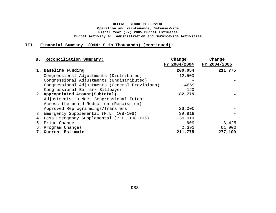# **III. Financial Summary (O&M: \$ in Thousands) (continued):**

| B. Reconciliation Summary:                     | Change<br>FY 2004/2004 | Change<br>FY 2004/2005 |
|------------------------------------------------|------------------------|------------------------|
| 1. Baseline Funding                            | 200,054                | 211,775                |
| Congressional Adjustments (Distributed)        | $-12,500$              |                        |
| Congressional Adjustments (Undistributed)      |                        |                        |
| Congressional Adjustments (General Provisions) | $-4659$                |                        |
| Congressional Earmark Billpayer                | $-120$                 |                        |
| 2. Appropriated Amount(Subtotal)               | 182,775                |                        |
| Adjustments to Meet Congressional Intent       |                        |                        |
| Across-the-board Reduction (Rescission)        |                        |                        |
| Approved Reprogrammings/Transfers              | 26,000                 |                        |
| 3. Emergency Supplemental (P.L. 108-106)       | 39,919                 |                        |
| 4. Less Emergency Supplemental (P.L. 108-106)  | $-39,919$              |                        |
| 5. Price Change                                | 609                    | 3,425                  |
| 6. Program Changes                             | 2,391                  | 61,900                 |
| 7. Current Estimate                            | 211,775                | 277,100                |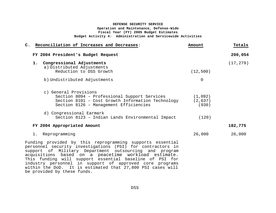| C. Reconciliation of Increases and Decreases:                                                                                                                                                                                                                                                                                                                                                                                 | Amount                       | Totals    |
|-------------------------------------------------------------------------------------------------------------------------------------------------------------------------------------------------------------------------------------------------------------------------------------------------------------------------------------------------------------------------------------------------------------------------------|------------------------------|-----------|
| FY 2004 President's Budget Request                                                                                                                                                                                                                                                                                                                                                                                            |                              | 200,054   |
| 1. Congressional Adjustments<br>a) Distributed Adjustments                                                                                                                                                                                                                                                                                                                                                                    |                              | (17, 279) |
| Reduction to DSS Growth                                                                                                                                                                                                                                                                                                                                                                                                       | (12, 500)                    |           |
| b) Undistributed Adjustments                                                                                                                                                                                                                                                                                                                                                                                                  | $\Omega$                     |           |
| c) General Provisions                                                                                                                                                                                                                                                                                                                                                                                                         |                              |           |
| Section 8094 - Professional Support Services<br>Section 8101 - Cost Growth Information Technology<br>Section 8126 - Management Efficiencies                                                                                                                                                                                                                                                                                   | (1,092)<br>(2, 637)<br>(930) |           |
| d) Congressional Earmark<br>Section 8123 - Indian Lands Environmental Impact                                                                                                                                                                                                                                                                                                                                                  | (120)                        |           |
| FY 2004 Appropriated Amount                                                                                                                                                                                                                                                                                                                                                                                                   |                              | 182,775   |
| 1. Reprogramming                                                                                                                                                                                                                                                                                                                                                                                                              | 26,000                       | 26,000    |
| Funding provided by this reprogramming supports essential<br>personnel security investigations (PSI) for contractors in<br>support of Military Department outsourcing and program<br>acquisitions based on a peacetime workload estimate.<br>This funding will support essential baseline of PSI for<br>industry personnel in support of approved core programs<br>within the DoD. It is estimated that 27,800 PSI cases will |                              |           |

be provided by these funds.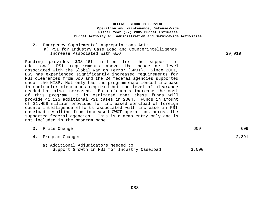2. Emergency Supplemental Appropriations Act: a) PSI for Industry Case Load and Counterintelligence Increase Associated with GWOT 39,919

Funding provides \$38.461 million for the support of additional PSI requirements above the peacetime level associated with the Global War on Terror (GWOT). Since 2001, DSS has experienced significantly increased requirements for PSI clearances from DoD and the 24 federal agencies supported under the NISP. Not only has the program experienced increase in contractor clearances required but the level of clearance needed has also increased. Both elements increase the cost of this program. It is estimated that these funds will provide 41,125 additional PSI cases in 2004. Funds in amount of \$1.458 million provided for increased workload of foreign counterintelligence efforts associated with increase in PSI caseload resulting from increased GWOT operations across the supported federal agencies. This is a memo entry only and is not included in the program base.

| 3. Price Change                                                                     | 609   | 609   |
|-------------------------------------------------------------------------------------|-------|-------|
| 4. Program Changes                                                                  |       | 2,391 |
| a) Additional Adjudicators Needed to<br>Support Growth in PSI for Industry Caseload | 3,000 |       |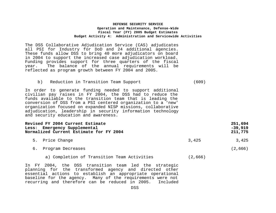The DSS Collaborative Adjudication Service (CAS) adjudicates all PSI for Industry for DoD and 24 additional agencies. These funds allow DSS to bring 40 more adjudicators on board in 2004 to support the increased case adjudication workload. Funding provides support for three quarters of the fiscal year. The balance of the annual requirements will be reflected as program growth between FY 2004 and 2005.

b) Reduction in Transition Team Support (609)

In order to generate funding needed to support additional civilian pay raises in FY 2004, the DSS had to reduce the funds available to the transition team that is leading the conversion of DSS from a PSI centered organization to a 'new' organization focused on expanded NISP missions, collaborative adjudication, leadership in security information technology and security education and awareness.

# **Revised FY 2004 Current Estimate 251,694** Less: Emergency Supplemental -39,919<br>Normalized Current Estimate for FY 2004 Normalized Current Estimate for FY 2004

- 5. Price Change 3,425 3,425 3,425
- 6. Program Decreases (2,666)
	- a) Completion of Transition Team Activities (2,666)

In FY 2004, the DSS transition team led the strategic planning for the transformed agency and directed other essential actions to establish an appropriate operational baseline for the agency. Many of the requirements were not recurring and therefore can be reduced in 2005. Included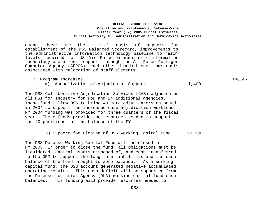among these are the initial costs of support for establishment of the DSS Balanced Scorecard, improvements to the administrative information technology baseline to reach levels required for US Air Force reimbursable information technology operational support through the Air Force Pentagon Computer Agency (AFPCA), and other limited one time costs associated with relocation of staff elements.

- 7. Program Increases 64,567
	- a) Annualization of Adjudicator Support 1,400

The DSS Collaborative Adjudication Services (CAS) adjudicates all PSI for Industry for DoD and 24 additional agencies. These funds allow DSS to bring 40 more adjudicators on board in 2004 to support the increased case adjudication workload. FY 2004 funding was provided for three quarters of the fiscal year. These funds provide the resources needed to support the 40 positions for the balance of the FY.

#### b) Support for Closing of DSS Working Capital Fund 50,000

The DSS Defense Working Capital Fund will be closed in FY 2005. In order to close the fund, all obligations must be liquidated, capital assets disposed of, and cash transferred to the OPM to support the long-term liabilities and the cash balance of the fund brought to zero balance. As a working capital fund, the DSS account generated negative accumulated operating results. This cash deficit will be supported from the Defense Logistics Agency (DLA) working capital fund cash balances. This funding will provide resources needed to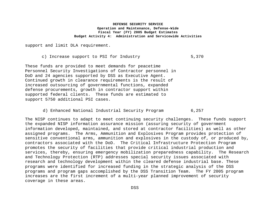support and limit DLA requirement.

c) Increase support to PSI for Industry 5,370

These funds are provided to meet demands for peacetime Personnel Security Investigations of Contractor personnel in DoD and 24 agencies supported by DSS as Executive Agent. Continued growth in clearance requirements is the result of increased outsourcing of governmental functions, expanded defense procurements, growth in contractor support within supported federal clients. These funds are estimated to support 5750 additional PSI cases.

d) Enhanced National Industrial Security Program 6,257

The NISP continues to adapt to meet continuing security challenges. These funds support the expanded NISP information assurance mission (assuring security of government information developed, maintained, and stored at contractor facilities) as well as other assigned programs. The Arms, Ammunition and Explosives Program provides protection of sensitive conventional arms, ammunition and explosives in the custody of, or produced by, contractors associated with the DoD. The Critical Infrastructure Protection Program promotes the security of facilities that provide critical industrial production and services, thereby, ensuring emergency mobilization preparedness capability. The Research and Technology Protection (RTP) addresses special security issues associated with research and technology development within the cleared defense industrial base. These programs were identified for increased funding in the strategic analysis of the DSS programs and program gaps accomplished by the DSS Transition Team. The FY 2005 program increases are the first increment of a multi-year planned improvement of security coverage in these areas.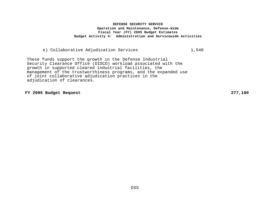# e) Collaborative Adjudication Services 1,540

These funds support the growth in the Defense Industrial Security Clearance Office (DISCO) workload associated with the growth in supported cleared industrial facilities, the management of the trustworthiness programs, and the expanded use of joint collaborative adjudication practices in the adjudication of clearances.

**FY 2005 Budget Request 277,100**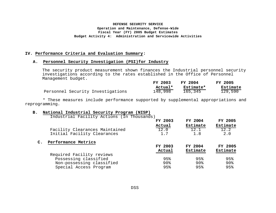#### **IV. Performance Criteria and Evaluation Summary:**

#### **A. Personnel Security Investigation (PSI)for Industry**

The security product measurement shown finances the Industrial personnel security investigations according to the rates established in the Office of Personnel Management budget. **FY 2003 FY 2004 FY 2005**

|  |                                   | FY 2003 | FY 2004   | FY 2005  |
|--|-----------------------------------|---------|-----------|----------|
|  |                                   | Actual* | Estimate* | Estimate |
|  | Personnel Security Investigations | 148,998 | 165,345   | 129,590  |

 \* These measures include performance supported by supplemental appropriations and reprogramming.

#### **B. National Industrial Security Program (NISP)**

|    | Industrial Facility Actions (In Thousands) |         |          |                 |
|----|--------------------------------------------|---------|----------|-----------------|
|    |                                            | FY 2003 | FY 2004  | FY 2005         |
|    |                                            | Actual  | Estimate | Estimate        |
|    | Facility Clearances Maintained             | 12.0    | 12.1     | 12.2            |
|    | Initial Facility Clearances                | 1.7     | 1.8      | 2.0             |
| с. | Performance Metrics                        |         |          |                 |
|    |                                            |         |          |                 |
|    |                                            | FY 2003 | FY 2004  | FY 2005         |
|    |                                            | Actual  | Estimate | <b>Estimate</b> |
|    | Required Facility reviews                  |         |          |                 |
|    | Possessing classified                      | 95%     | 95%      | 95%             |
|    | Non-possessing classified                  | 90%     | $90\%$   | 90%             |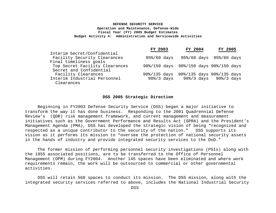|                                | FY 2003                | FY 2004                                | FY 2005                   |  |
|--------------------------------|------------------------|----------------------------------------|---------------------------|--|
| Interim Secret/Confidential    |                        |                                        |                           |  |
| Facility Security Clearances   | $95\%/60$ days         |                                        | 95%/60 days 95%/60 days   |  |
| Final timeliness goals         |                        |                                        |                           |  |
| Top Secret Facility Clearances |                        | 90%/150 days 90%/150 days 90%/150 days |                           |  |
| Secret and Confidential        |                        |                                        |                           |  |
| Facility Clearances            | $90\frac{2}{135}$ days |                                        | 90%/135 days 90%/135 days |  |
| Interim Industrial Personnel   | $90\%/3$ days          |                                        | 90%/3 days 90%/3 days     |  |
| Clearances                     |                        |                                        |                           |  |

#### **DSS 2005 Strategic Direction**

Beginning in FY2003 Defense Security Service (DSS) began a major initiative to transform the way it has done business. Responding to the 2001 Quadrennial Defense Review's (QDR) risk management framework, and current management and measurement initiatives such as the Government Performance and Results Act (GPRA) and the President's Management Agenda (PMA), DSS has developed the strategic vision of being "recognized and respected as a unique contributor to the security of the nation." DSS supports its vision as it performs its mission to "oversee the protection of national security assets in the hands of industry and provide integrated security services to the DoD."

The former mission of performing personnel security investigations (PSIs) along with the 1855 associated positions, are to be transferred to the Office of Personnel Management (OPM) during FY2004. Another 145 spaces have been eliminated and where work requirements remain, the work will be outsourced to commercial or other governmental activities.

DSS will retain 568 spaces to conduct its mission. The DSS mission, along with the integrated security services referred to above, includes the National Industrial Security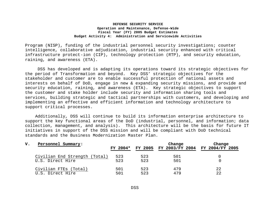Program (NISP), funding of the industrial personnel security investigations; counter intelligence, collaborative adjudication, industrial security enhanced with critical infrastructure protect-ion (CIP), technology protection (RTP), and security education, raining, and awareness (ETA).

DSS has developed and is adapting its operations toward its strategic objectives for the period of Transformation and beyond. Key DSS' strategic objectives for the stakeholder and customer are to enable successful protection of national assets and interests on behalf of DoD, engage in new & expanding security missions, and provide and security education, raining, and awareness (ETA). Key strategic objectives to support the customer and stake holder include security and information sharing tools and services, building strategic and tactical partnerships with customers, and developing and implementing an effective and efficient information and technology architecture to support critical processes.

 Additionally, DSS will continue to build its information enterprise architecture to support the key functional areas of the DoD (industrial, personnel, and information; data collection, management, and analysis). This architecture will be the basis for future IT initiatives in support of the DSS mission and will be compliant with DoD technical standards and the Business Modernization Master Plan.

| v. | Personnel Summary:            |            |     | Change                                  | Change |
|----|-------------------------------|------------|-----|-----------------------------------------|--------|
|    |                               | $FY 2004*$ |     | FY 2005 FY 2003/FY 2004 FY 2004/FY 2005 |        |
|    | Civilian End Strength (Total) | 523        | 523 | 501                                     |        |
|    | U.S. Direct Hire              | 523        | 523 | 501                                     |        |
|    | Civilian FTEs (Total)         | 501        | 523 | 479                                     | 22     |
|    | U.S. Direct Hire              | 501        | 523 | 479                                     | 22     |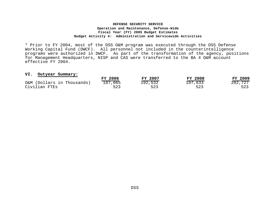\* Prior to FY 2004, most of the DSS O&M program was executed through the DSS Defense Working Capital Fund (DWCF). All personnel not included in the counterintelligence programs were authorized in DWCF. As part of the transformation of the agency, positions for Management Headquarters, NISP and CAS were transferred to the BA 4 O&M account effective FY 2004.

#### **VI. Outyear Summary:**

| vi. Outyear Summary.       |         |         |                |         |
|----------------------------|---------|---------|----------------|---------|
|                            | FY 2006 | FY 2007 | <b>FY 2008</b> | FY 2009 |
| O&M (Dollars in Thousands) | 187,065 | 192,532 | 197,633        | 202,727 |
| Civilian FTEs              | 523     | 523     | 523            | 523     |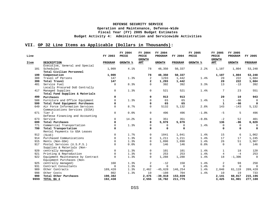# **VII. OP 32 Line Items as Applicable (Dollars in Thousands):**

| Line |                                   | FY 2003     | FY 2004<br>PRICE | FY 2004<br>PRICE<br><b>GROWTH</b> | FY 2004<br>PROGRAM | FY 2004     | FY 2005<br>PRICE | FY 2005<br>PRICE<br><b>GROWTH</b> | FY 2005<br>PROGRAM | FY 2005     |
|------|-----------------------------------|-------------|------------------|-----------------------------------|--------------------|-------------|------------------|-----------------------------------|--------------------|-------------|
| Item | <b>DESCRIPTION</b>                | PROGRAM     | <b>GROWTH %</b>  | AMT                               | <b>GROWTH</b>      | PROGRAM     | <b>GROWTH %</b>  | AMT                               | <b>GROWTH</b>      | PROGRAM     |
|      | Executive, General and Special    |             |                  |                                   |                    |             |                  |                                   |                    |             |
| 101  | Schedules                         | 1,909       | 4.1%             | 78                                | 48,350             | 50,337      | 2.2%             | 1,107                             | 1,804              | 53,248      |
|      | Total Civilian Personnel          |             |                  |                                   |                    |             |                  |                                   |                    |             |
| 199  | Compensation                      | 1,909       |                  | 78                                | 48,350             | 50,337      |                  | 1,107                             | 1,804              | 53,248      |
| 308  | Travel of Persons                 | 147         | 1.3%             | 2                                 | 1293               | 1,442       | 1.4%             | 20                                | 222                | 1,684       |
| 399  | Total Travel                      | 147         |                  | $\overline{a}$                    | 1,293              | 1,442       |                  | 20                                | 222                | 1,684       |
| 401  | Service Fuel                      | $\mathbf 0$ | 8.3%             | $\Omega$                          | 392                | 392         | 3.3%             | 13                                | $-13$              | 392         |
|      | Locally Procured DoD Centrally    |             |                  |                                   |                    |             |                  |                                   |                    |             |
|      | 417 Managed Supplies              | $\mathbf 0$ | 1.3%             | $\mathbf{0}$                      | 521                | 521         | 1.4%             | $7\phantom{.0}$                   | 23                 | 551         |
|      | Total Fund Supplies & Materials   |             |                  |                                   |                    |             |                  |                                   |                    |             |
| 499  | Purchases                         | 0           |                  | 0                                 | 913                | 913         |                  | 20                                | 10                 | 943         |
| 508  | Furniture and Office Equipment    | $\Omega$    | 1.3%             | $\Omega$                          | 65                 | 65          | 1.4%             | $\mathbf{1}$                      | $-66$              | 0           |
| 599  | Total Fund Equipment Purchases    | 0           |                  | $\mathbf 0$                       | 65                 | 65          |                  | $\mathbf{1}$                      | $-66$              | $\mathbf 0$ |
| 649  | Air Force Information Services    | $\mathbf 0$ | 8.7%             | $\mathbf{0}$                      | 5132               | 5,132       | 2.8%             | 143                               | $-143$             | 5,132       |
|      | Communications Services (DISA)    |             |                  |                                   |                    |             |                  |                                   |                    |             |
| 671  | Tier 2                            | $\mathbf 0$ | 0.0%             | $\mathbf{0}$                      | 496                | 496         | $-1.0$ %         | $-5$                              | 5                  | 496         |
|      | Defense Financing and Accounting  |             |                  |                                   |                    |             |                  |                                   |                    |             |
| 673  | Service                           | $\Omega$    | 14.2%            | 0                                 | 351                | 351         | $-0.6%$          | $-2$                              | 52                 | 401         |
| 699  | Total Purchases                   | 0           |                  | 0                                 | 5,979              | 5,979       |                  | 136                               | $-86$              | 6,029       |
| 771  | Commercial Transportation         | $\Omega$    | 1.3%             | $\mathsf{O}$                      | 0                  | 0           | 1.4%             | $\mathsf{O}$                      | $\Omega$           | $\mathbf 0$ |
| 799  | Total Transportation              | 0           |                  | $\mathbf 0$                       | 0                  | $\mathbf 0$ |                  | 0                                 | $\Omega$           | $\mathbf 0$ |
|      | Rental Payments to GSA Leases     |             |                  |                                   |                    |             |                  |                                   |                    |             |
| 912  | (SLUC)                            | $\mathbf 0$ | 1.7%             | 0                                 | 1041               | 1,041       | 1.4%             | 15                                | 6                  | 1,062       |
| 914  | Purchased Communications          | 0           | 1.3%             | 0                                 | 1,211              | 1,211       | 1.4%             | 17                                | 17                 | 1,245       |
| 915  | Rents (Non-GSA)                   | 0           | 1.3%             | 0                                 | 1,890              | 1,890       | 1.4%             | 26                                | 51                 | 1,967       |
| 917  | Postal Services (U.S.P.S.)        | 0           | 0.0%             | $\mathbf 0$                       | 146                | 146         | 0.0%             | $\mathbf 0$                       | $\Omega$           | 146         |
|      | Supplies & Materials (Non-        |             |                  |                                   |                    |             |                  |                                   |                    |             |
| 920  | centrally managed)                | $\Omega$    | 1.3%             | 0                                 | 101                | 101         | 1.4%             | $\mathbf{1}$                      | 18                 | 120         |
| 921  | Printing & Reproduction           | 0           | 1.3%             | 0                                 | 253                | 253         | 1.4%             | 4                                 | $-4$               | 253         |
| 922  | Equipment Maintenance by Contract | 0           | 1.3%             | $\mathbf 0$                       | 1,288              | 1,288       | 1.4%             | 18                                | $-1,306$           | $\mathbf 0$ |
|      | Equipment Purchases (Non-         |             |                  |                                   |                    |             |                  |                                   |                    |             |
| 925  | centrally managed)                | 160         | 1.3%             | $\overline{a}$                    | $-12$              | 150         | 1.4%             | $\overline{a}$                    | 98                 | 250         |
| 931  | Contract Consultants              | $\Omega$    | 1.3%             | $\Omega$                          | 0                  | $\Omega$    | 1.4%             | $\mathbf 0$                       | $\Omega$           | $\mathbf 0$ |
| 989  | Other Contracts                   | 189,420     | 1.3%             | 2,462                             | $-45,628$          | 146,254     | 1.4%             | 2,048                             | 61,119             | 209,420     |
| 998  | Other Costs                       | 802         | 1.3%             | 10                                | $-108$             | 704         | 1.4%             | 10                                | 19                 | 733         |
| 999  | Total Other Purchases             | 190,382     |                  | 2,475                             | $-39,818$          | 153,039     |                  | 2,141                             | 60,017             | 215,196     |
| 9999 | TOTAL BA 4                        | 192,438     |                  | 2,555                             | 16,782             | 211,775     |                  | 3,425                             | 61,901             | 277,100     |